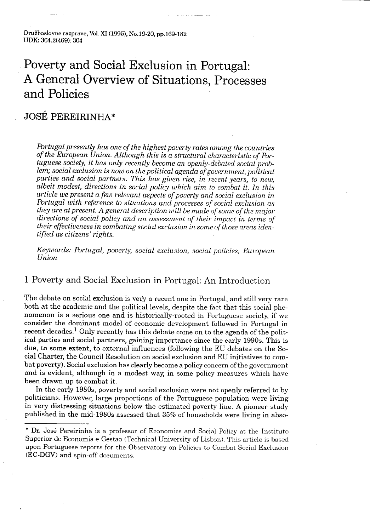Družboslovne razprave, Vol. XI (1995), No .19-20, pp .169-182 UDK: 364.2(469): 304

## Poverty and Social Exclusion in Portugal: A General Overview of Situations, Processes and Policies

### JOSE PEREIRINHA\*

Portugal presently has one of the highest poverty rates among the countries of the European Union. Although this is a structural characteristic of Portuguese society, it has only recently become an openly-debated social problem; social exclusion is now on the political agenda of government, political parties and social partners. This has given rise, in recent years, to new, albeit modest, directions in social policy which aim to combat it . In this article we present a few relevant aspects of poverty and social exclusion in. Portugal with reference to situations and processes of social exclusion as they are at present. A general description will be made of some of the major directions of social policy and an assessment of their impact in terms of their effectiveness in combating social exclusion in some of those areas identified as citizens' rights .

Keywords: Portugal, poverty, social exclusion, social policies, European Union

#### 1 Poverty and Social Exclusion in Portugal: An Introduction

The debate on social exclusion is very a recent one in Portugal, and still very rare both at the academic and the political levels, despite the fact that this social phenomenon is a serious one and is historically-rooted in Portuguese society, if we consider the dominant model of economic development followed in Portugal in recent decades.<sup>1</sup> Only recently has this debate come on to the agenda of the political parties and social partners, gaining importance since the early 1990s. This is due, to some extent, to external influences (following the EU debates on the Social Charter, the Council Resolution on social exclusion and EU initiatives to combat poverty). Social exclusion has clearly become a policy concern of the government and is evident, although in a modest way, in some policy measures which have been drawn up to combat it.

In the early 1980s, poverty and social exclusion were not openly referred to by politicians . However; large proportions of the Portuguese population were living in very distressing situations below the estimated poverty line . A pioneer study published in the mid-1980s assessed that 35% of households were living in abso-

<sup>\*</sup> Dr. Jose Pereirinha is a professor of Economics and Social Policy at the Instituto Superior de Economia e Gestao (Technical University of Lisbon). This article is based upon Portuguese reports for the Observatory on Policies to Combat Social Exclusion (EC-DGV) and spin-off documents .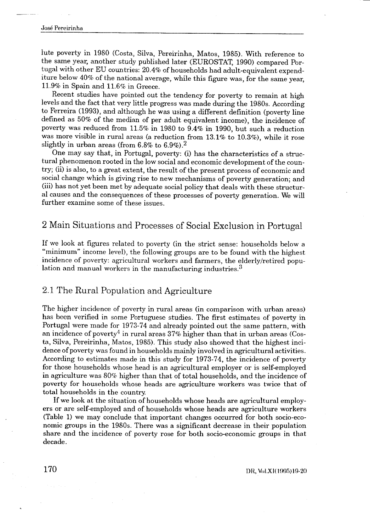# Jose Pereirinha  $\frac{1}{\cos \theta}$

lute poverty in 1980 (Costa, Silva, Pereirinha, Matos, 1985) . With reference to the same year, another study published later (EUROSTAT, 1990) compared Portugal with other EU countries: 20.4% of households had adult-equivalent expenditure below 40% of the national average, while this figure was, for the same year, 11.9% in Spain and 11.6% in Greece.

Recent studies have pointed out the tendency for poverty to remain at high levels and the fact that very little progress was made during the 1980s . According to Ferreira (1993), and although he was using a different definition (poverty line defined as 50% of the median of per adult equivalent income), the incidence of poverty was reduced from 11 .5% in 1980 to 9 .4% in 1990, but such a reduction was more visible in rural areas (a reduction from 13.1% to 10.3%), while it rose slightly in urban areas (from  $6.8\%$  to  $6.9\%$ ).<sup>2</sup>

One may say that, in Portugal, poverty: (i) has the characteristics of a structural phenomenon rooted in the low social and economic development of the country ; (ii) is also, to a great extent, the result of the present process of economic and social change which is giving rise to new mechanisms of poverty generation; and (iii) has not yet been met by adequate social policy that deals with these structural causes and the consequences of these processes of poverty generation . We will further examine some of these issues .

### 2 Main Situations and Processes of Social Exclusion in Portugal

If we look at figures related to poverty (in the strict sense: households below a "minimum" income level), the following groups are to be found with the highest incidence of poverty: agricultural workers and farmers, the elderly/retired population and manual workers in the manufacturing industries.<sup>3</sup>

#### 2.1 The Rural Population and Agriculture

The higher incidence of poverty in rural areas (in comparison with urban areas) has been verified in some Portuguese studies. The first estimates of poverty in Portugal were made for 1973-74 and already pointed out the same pattern, with an incidence of poverty<sup>4</sup> in rural areas  $37\%$  higher than that in urban areas (Costa, Silva, Pereirinha, Matos, 1985) . This study also showed that the highest incidence of poverty was found in households mainly involved in agricultural activities . According to estimates made in this study for 1973-74, the incidence of poverty for those households whose head is an agricultural employer or is self-employed in agriculture was 80% higher than that of total households, and the incidence of poverty for households whose heads are agriculture workers was twice that of total households in the country.

If we look at the situation of households whose heads are agricultural employers or are self-employed and of households whose heads are agriculture workers (Table 1) we may conclude that important changes occurred for both socio-economic groups in the 1980s. There was a significant decrease in their population share and the incidence of poverty rose for both socio-economic groups in that decade.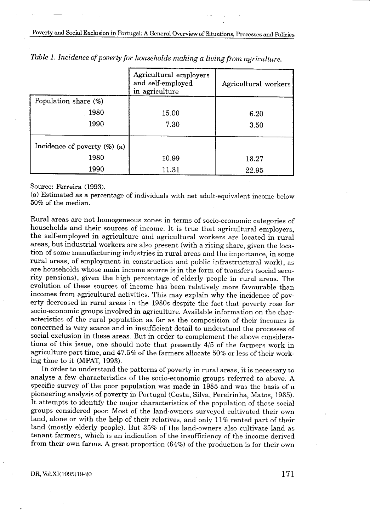Poverty and Social Exclusion in Portugal: A General Overview of Situations, Processes and Policies Poverty and Social Ex

|                                                                                                                                       | Agricultural employers<br>and self-employed<br>in agriculture | Agricultural workers |
|---------------------------------------------------------------------------------------------------------------------------------------|---------------------------------------------------------------|----------------------|
| Population share (%)                                                                                                                  |                                                               |                      |
| 1980                                                                                                                                  | 15.00                                                         | 6.20                 |
| 1990                                                                                                                                  | 7.30                                                          | 3.50                 |
| Incidence of poverty $(\%)$ (a)                                                                                                       |                                                               |                      |
| 1980                                                                                                                                  | 10.99                                                         | 18.27                |
| 1990                                                                                                                                  | 11.31                                                         | 22.95                |
| Source: Ferreira (1993).<br>(a) Estimated as a percentage of individuals with net adult-equivalent income below<br>50% of the median. |                                                               |                      |

Table 1. Incidence of poverty for households making a living from agriculture.

Rural areas are not homogeneous zones in terms of socio-economic categories of households and their sources of income. It is true that agricultural employers, the self-employed in agriculture and agricultural workers are located in rural areas, but industrial workers are also present (with a rising share, given the location of some manufacturing industries in rural areas and the importance, in some rural areas, of employment in construction and public infrastructural work), as are households whose main income source is in the form of transfers (social security pensions), given the high percentage of elderly people in rural areas . The evolution of these sources of income has been relatively more favourable than incomes from agricultural activities . This may explain why the incidence of poverty decreased in rural areas in the 1980s despite the fact that poverty rose for socio-economic groups involved in agriculture . Available information on the characteristics of the rural population as far as the composition of their incomes is concerned is very scarce and in insufficient detail to understand the processes of social exclusion in these areas . But in order to complement the above considerations of this issue, one should note that presently 4/5 of the farmers work in agriculture part time, and 47 .5% of the farmers allocate 50% or less of their working time to it (MPAT, 1993) .

In order to understand the patterns of poverty in rural areas, it is necessary to analyse a few characteristics of the socio-economic groups referred to above . A specific survey of the poor population was made in 1985 and was the basis of a pioneering analysis of poverty in Portugal (Costa, Silva, Pereirinha, Matos, 1985) . It attempts to identify the major characteristics of the population of those social groups considered poor Most of the land-owners surveyed cultivated their own land, alone or with the help of their relatives, and only 11% rented part of their land (mostly elderly people). But 35% of the land-owners also cultivate land as tenant farmers, which is an indication of the insufficiency of the income derived from their own farms . A great proportion (64%) of the production is for their own

DR, Vol .Xl(1995)19-20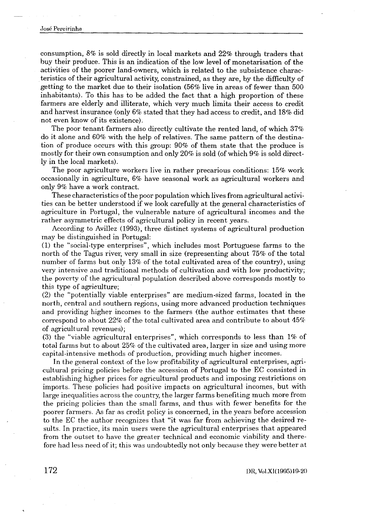# Jose Pereirinha  $\frac{1}{\log \log |E|}$

consumption, 8% is sold directly in local markets and 22% through traders that buy their produce . This is an indication of the low level of inonetarisation of the activities of the poorer land-owners, which is related to the subsistence characteristics of their agricultural activity, constrained, as they are, by the difficulty of getting to the market due to their isolation (56% live in areas of fewer than 500 inhabitants) . To this has to be added the fact that a high proportion of these farmers are elderly and illiterate, which very much limits their access to credit and harvest insurance (only 6% stated that they had access to credit, and 18% did not even know of its existence) .

The poor tenant farmers also directly cultivate the rented land, of which 37% do it alone and 60% with the help of relatives . The same pattern of the destination of produce occurs with this group: 90% of them state that the produce is mostly for their own consumption and only 20% is sold (of which 9% is sold directly in the local markets) .

The poor agriculture workers live in rather precarious conditions:  $15\%$  work occasionally in agriculture, 6% have seasonal work as agricultural workers and only 9% have a work contract.

These characteristics of the poor population which lives from agricultural activities can be better understood if we look carefully at the general characteristics of agriculture in Portugal, the vulnerable nature of agricultural incomes and the rather asymmetric effects of agricultural policy in recent years.

According to Avillez (1993), three distinct systems of agricultural production may be distinguished in Portugal:

(1) the "social-type enterprises", which includes most Portuguese farms to the north of the Tagus river, very small in size (representing about 75% of the total number of farms but only 13% of the total cultivated area of the country), using very intensive and traditional methods of cultivation and with low productivity; the poverty of the agricultural population described above corresponds mostly to this type of agriculture ;

(2) the "potentially viable enterprises" are medium-sized farms, located in the north, central and southern regions, using more advanced production techniques and providing higher incomes to the farmers (the author estimates that these correspond to about 22% of the total cultivated area and contribute to about 45% of agricultural revenues) ;

(3) the "viable agricultural enterprises", which corresponds to less than 1% of total farms but to about 25% of the cultivated area, larger in size and using more capital-intensive methods of production, providing much higher incomes.

In the general context of the low profitability of agricultural enterprises, agricultural pricing policies before the accession of Portugal to the EC consisted in establishing higher prices for agricultural products and imposing restrictions on imports . These policies had positive impacts on agricultural incomes, but with large inequalities across the country, the larger farms benefiting much more from the pricing policies than the small farms, and thus with fewer benefits for the poorer farmers . As far as credit policy is concerned, in the years before accession to the EC the author recognizes that "it was far from achieving the desired results . In practice, its main users were the agricultural enterprises that appeared from the outset to have the greater technical and economic viability and therefore had less need of it; this was undoubtedly not only because they were better at

DR, vol .XI(1995)19-20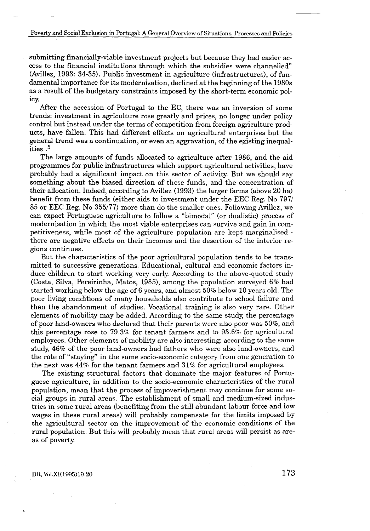submitting financially-viable investment projects but because they had easier access to the financial institutions through which the subsidies were channelled" (Avillez, 1993 : 34-35) . Public investment in agriculture (infrastructures), of fundamental importance for its modernisation, declined at the beginning of the 1980s as a result of the budgetary constraints imposed by the short-term economic policy.

After the accession of Portugal to the EC, there was an inversion of some trends: investment in agriculture rose greatly and prices, no longer under policy control but instead under the terms of competition from foreign agriculture products, have fallen. This had different effects on agricultural enterprises but the general trend was a continuation, or even an aggravation, of the existing inequalities . 5

The large amounts of funds allocated to agriculture after 1986, and the aid programmes for public infrastructures which support agricultural activities, have probably had a significant impact on this sector of activity . But we should say something about the biased direction of these funds, and the concentration of their allocation. Indeed, according to Avillez (1993) the larger farms (above 20 ha) benefit from these funds (either aids to investment under the EEC Reg . No 797/ 85 or EEC Reg. No 355/77) more than do the smaller ones . Following Avillez, we can expect Portuguese agriculture to follow a "bimodal" (or dualistic) process of modernisation in which the most viable enterprises can survive and gain in competitiveness, while most of the agriculture population are kept marginalised there are negative effects on their incomes and the desertion of the interior regions continues .

But the characteristics of the poor agricultural population tends to be transmitted to successive generations . Educational, cultural and economic factors induce children to start working very early. According to the above-quoted study (Costa, Silva, Pereirinha, Matos, 1985), among the population surveyed 6% had started working below the age of 6 years, and almost 50% below 10 years old . The poor living conditions of many households also contribute to school failure and then the abandonment of studies . Vocational training is also very rare . Other elements of mobility may be added . According to the same study, the percentage of poor land-owners who declared that their parents were also poor was 50%, and this percentage rose to 79.3% for tenant farmers and to 93.6% for agricultural employees . Other elements of mobility are also interesting . according to the same study, 46% of the poor land-owners had fathers who were also land-owners, and the rate of "staying" in the same socio-economic category from one generation to the next was 44% for the tenant farmers and 31% for agricultural employees .

The existing structural factors that dominate the major features of Portuguese agriculture, in addition to the socio-economic characteristics of the rural population, mean that the process of impoverishment may continue for some social groups in rural areas. The establishment of small and medium-sized industries in some rural areas (benefiting from the still abundant labour force and low wages in these rural areas) will probably compensate for the limits imposed by the agricultural sector on the improvement of the economic conditions of the rural population. But this will probably mean that rural areas will persist as areas of poverty.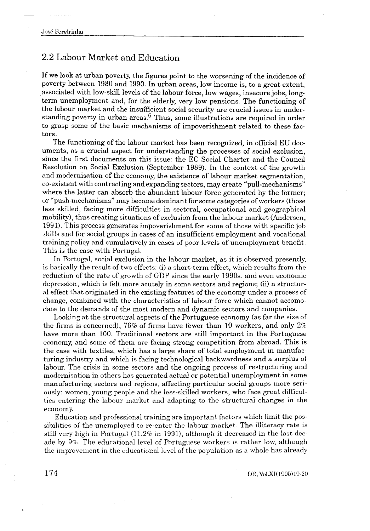### 2.2 Labour Market and Education

If we look at urban poverty, the figures point to the worsening of the incidence of poverty between 1980 and 1990. In urban areas, low income is, to a great extent, associated with low-skill levels of the labour force, low wages, insecure jobs, longterm unemployment and, for the elderly, very low pensions . The functioning of the labour market and the insufficient social security are crucial issues in understanding poverty in urban areas.<sup>6</sup> Thus, some illustrations are required in order to grasp some of the basic mechanisms of impoverishment related to these factors.

The functioning of the labour market has been recognized, in official EU documents, as a crucial aspect for understanding the processes of social exclusion, since the first documents on this issue : the EC Social Charter and the Council Resolution on Social Exclusion (September 1989) . In the context of the growth and modernisation of the economy, the existence of labour market segmentation, co-existent with contracting and expanding sectors, may create "pull-mechanisms" where the latter can absorb the abundant labour force generated by the former; or "push-mechanisms" may become dominant for some categories of workers (those less skilled, facing more difficulties in sectoral, occupational and geographical mobility), thus creating situations of exclusion from the labour market (Andersen, 1991) . This process generates impoverishment for some of those with specific job skills and for social groups in cases of an insufficient employment and vocational training policy and cumulatively in cases of poor levels of unemployment benefit . This is the case with Portugal.

In Portugal, social exclusion in the labour market, as it is observed presently, is basically the result of two effects : (i) a short-term effect, which results from the reduction of the rate of growth of GDP since the early 1990s, and even economic depression, which is felt more acutely in some sectors and regions; (ii) a structural effect that, originated in the existing features of the economy under a process of change, combined with the characteristics of labour force which cannot accomodate to the demands of the most modern and dynamic sectors and companies .

Looking at the structural aspects of the Portuguese economy (as far the size of the firms is concerned), 76% of firms have fewer than 10 workers, and only  $2\%$ have more than 100. Traditional sectors are still important in the Portuguese economy, and some of them are facing strong competition from abroad. This is the case with textiles, which has a large share of total employment in manufacturing industry and which is facing technological backwardness and a surplus of labour. The crisis in some sectors and the ongoing process of restructuring and modernisation in others has generated actual or potential unemployment in some manufacturing sectors and regions, affecting particular social groups more seriously: women, young people and the less-skilled workers, who face great difficulties entering the labour market and adapting to the structural changes in the economy.

Education and professional training are important factors which limit the possibilities of the unemployed to re-enter the labour market. The illiteracy rate is still very high in Portugal  $(11.2\%$  in 1991), although it decreased in the last decade by 9% . The educational level of Portuguese workers is rather low, although the improvement in the educational level of the population as a whole has already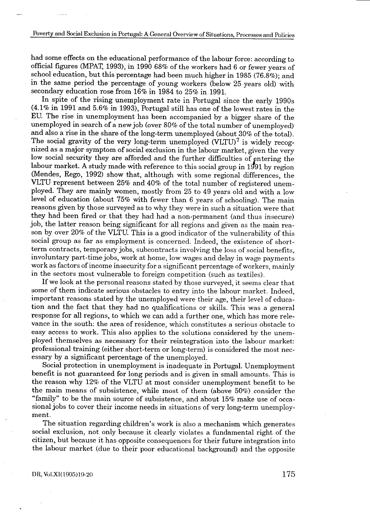had some effects on the educational performance of the labour force: according to official figures (MPAT, 1993), in 1990 68% of the workers had 6 or fewer years of school education, but this percentage had been much higher in 1985 (76.8%); and in the same period the percentage of young workers (below 25 years old) with secondary education rose from 16% in 1984 to 25% in 1991.

In spite of the rising unemployment rate in Portugal since the early 1990s  $(4.1\%$  in 1991 and 5.6% in 1993), Portugal still has one of the lowest rates in the EU. The rise in unemployment has been accompanied by a bigger share of the unemployed in search of a new job (over 80% of the total number of unemployed) and also a rise in the share of the long-term unemployed (about 30% of the total) . The social gravity of the very long-term unemployed  $(VLTU)^7$  is widely recognized as a major symptom of social exclusion in the labour market, given the very low social security they are afforded and the further difficulties of entering the labour market. A study made with reference to this social group in 1991 by region (Mendes, Rego, 1992) show that, although with some regional differences, the VLTU represent between 25% and 40% of the total number of registered unemployed. They are mainly women, mostly from 25 to 49 years old and with a low level of education (about 75% with fewer than 6 years of schooling) . The main reasons given by those surveyed as to why they were in such a situation were that they had been fired or that they had had a non-permanent (and thus insecure) job, the latter reason being significant for all regions and given as the main reason by over 20% of the VLTU. This is a good indicator of the vulnerability of this social group as far as employment is concerned. Indeed, the existence of shortterm contracts, temporary jobs, subcontracts involving the loss of social benefits, involuntary part-time jobs, work at home, low wages and delay in wage payments work as factors of income insecurity for a significant percentage of workers, mainly in the sectors most vulnerable to foreign competition (such as textiles) .

If we look at the personal reasons stated by those surveyed, it seems clear that some of them indicate serious obstacles to entry into the labour market. Indeed, important reasons stated by the unemployed were their age, their level of education and the fact that they had no qualifications or skills . This was a general response for all regions, to which we can add a further one, which has more relevance in the south: the area of residence, which constitutes a serious obstacle to easy access to work . This also applies to the solutions considered by the unemployed themselves as necessary for their reintegration into the labour market : professional training (either short-term or long-term) is considered the most necessary by a significant percentage of the unemployed.

Social protection in unemployment is inadequate in Portugal. Unemployment benefit is not guaranteed for long periods and is given in small amounts . This is the reason why 12% of the VLTU at most consider unemployment benefit to be the main means of subsistence, while most of them (above 50%) consider the "family" to be the main source of subsistence, and about 15% make use of occasional jobs to cover their income needs in situations of very long-term unemployment.

The situation regarding children's work is also a mechanism which generates social exclusion, not only because it clearly violates a fundamental right of the citizen, but because it has opposite consequences for their future integration into the labour market (due to their poor educational background) and the opposite

DR, Voi .Xl(1995)19-20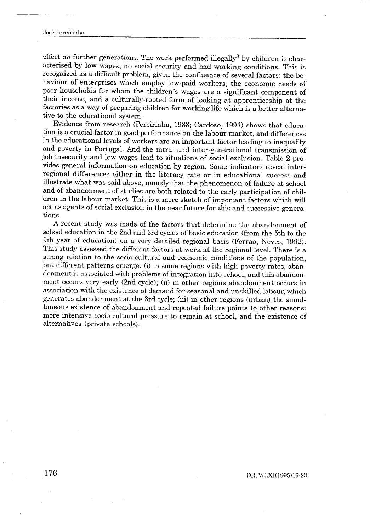# Jose Pereirinha  $\begin{array}{c}\n-\phantom{\frac{1}{12}\sqrt{12}} \\
-\phantom{\frac{1}{12}\sqrt{12}} \\
-\phantom{\frac{1}{12}\sqrt{12}} \\
-\phantom{\frac{1}{12}\sqrt{12}} \\
-\phantom{\frac{1}{12}\sqrt{12}} \\
-\phantom{\frac{1}{12}\sqrt{12}} \\
-\phantom{\frac{1}{12}\sqrt{12}} \\
-\phantom{\frac{1}{12}\sqrt{12}} \\
-\phantom{\frac{1}{12}\sqrt{12}} \\
-\phantom{\frac{1}{12}\sqrt{12}} \\
-\phantom{\frac{1}{12}\sqrt{12}} \\
-\phantom{\frac{1}{12}\sqrt{12}} \\
-\phantom{\frac{1}{$

effect on further generations. The work performed illegally  $\delta$  by children is characterised by low wages, no social security and bad working conditions This is recognized as a difficult problem, given the confluence of several factors: the behaviour of enterprises which employ low-paid workers, the economic needs of poor households for whom the children's wages are a significant component of their income, and a culturally-rooted form of looking at apprenticeship at the factories as a way of preparing children for working life which is a better alternative to the educational system .

Evidence from research (Pereirinha, 1988; Cardoso, 1991) shows that education is a crucial factor in good performance on the labour market, and differences in the educational levels of workers are an important factor leading to inequality and poverty in Portugal. And the intra- and inter-generational transmission of job insecurity and low wages lead to situations of social exclusion. Table 2 provides general information on education by region . Some indicators reveal interregional differences either in the literacy rate or in educational success and illustrate what was said above, namely that the phenomenon of failure at school and of abandonment of studies are both related to the early participation of children in the labour market. This is a mere sketch of important factors which will act as agents of social exclusion in the near future for this and successive generations.

A recent study was made of the factors that determine the abandonment of school education in the 2nd and 3rd cycles of basic education (from the 5th to the 9th year of education) on a very detailed regional basis (Ferrao, Neves, 1992) . This study assessed the different factors at work at the regional level. There is a strong relation to the socio-cultural and economic conditions of the population, but different patterns emerge: (i) in some regions with high poverty rates, abandonment is associated with problems of integration into school, and this abandonment occurs very early (2nd cycle); (ii) in other regions abandonment occurs in association with the existence of demand for seasonal and unskilled labour, which generates abandonment at the 3rd cycle; (iii) in other regions (urban) the simultaneous existence of abandonment and repeated failure points to other reasons : more intensive socio-cultural pressure to remain at school, and the existence of alternatives (private schools) .

DR, Vol.XI(1995)19-20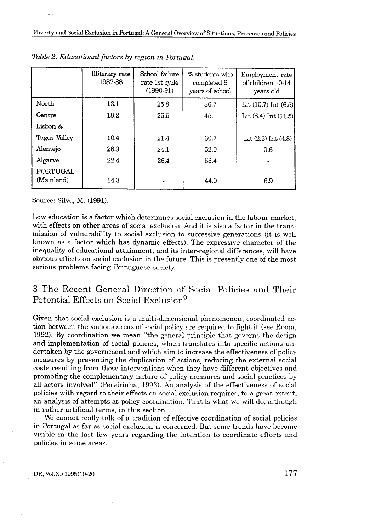Poverty and Social Exclusion in Portugal: A General Overview of Situations, Processes and Policies Poverty and Social Execution

|                               |                                                                        |                | Poverty and Social Exclusion in Portugal: A General Overview of Situations, Processes and Policies |                                |
|-------------------------------|------------------------------------------------------------------------|----------------|----------------------------------------------------------------------------------------------------|--------------------------------|
|                               | Table 2. Educational factors by region in Portugal.<br>Illiteracy rate | School failure | $%$ students who                                                                                   | Employment rate                |
|                               | 1987-88                                                                | rate 1st cycle | completed 9                                                                                        |                                |
|                               |                                                                        | $(1990-91)$    | years of school                                                                                    | of children 10-14<br>years old |
| North                         | 13.1                                                                   | 25.8           | 36.7                                                                                               | Lit (10.7) Int (6.5)           |
| Centre                        | 18.2                                                                   | 25.5           | 45.1                                                                                               | Lit $(8.4)$ Int $(11.5)$       |
| Lisbon &                      |                                                                        |                |                                                                                                    |                                |
| Tagus Valley                  | 10.4                                                                   | 21.4           | 60.7                                                                                               | Lit (2.3) Int (4.8)            |
| Alentejo                      | 28.9                                                                   | 24.1           | 52.0                                                                                               | 0.6                            |
| Algarve                       | 22.4                                                                   | 26.4           | 56.4                                                                                               |                                |
| <b>PORTUGAL</b><br>(Mainland) | 14.3                                                                   |                | 44.0                                                                                               | 6.9                            |

Source: Silva, M. (1991).

Low education is a factor which determines social exclusion in the labour market, with effects on other areas of social exclusion. And it is also a factor in the transmission of vulnerability to social exclusion to successive generations (it is well known as a factor which has dynamic effects) . The expressive character of the inequality of educational attainment, and its inter-regional differences, will have obvious effects on social exclusion in the future . This is presently one of the most serious problems facing Portuguese society .

### 3 The Recent General Direction of Social Policies and Their Potential Effects on Social Exclusion<sup>9</sup>

Given that social exclusion is a multi-dimensional phenomenon, coordinated action between the various areas of social policy are required to fight it (see Room, 1992) . By coordination we mean "the general principle that governs the design and implementation of social policies, which translates into specific actions undertaken by the government and which aim to increase the effectiveness of policy measures by preventing the duplication of actions, reducing the external social costs resulting from these interventions when they have different objectives and promoting the complementary nature of policy measures and social practices by all actors involved" (Pereirinha, 1993) . An analysis of the effectiveness of social policies with regard to their effects on social exclusion requires, to a great extent, an analysis of attempts at policy coordination. That is what we will do, although in rather artificial terms, in this section .

We cannot really talk of a tradition of effective coordination of social policies in Portugal as far as social exclusion is concerned . But some trends have become visible in the last few years regarding the intention to coordinate efforts and policies in some areas .

DR, Vol .Xl(1995)19-20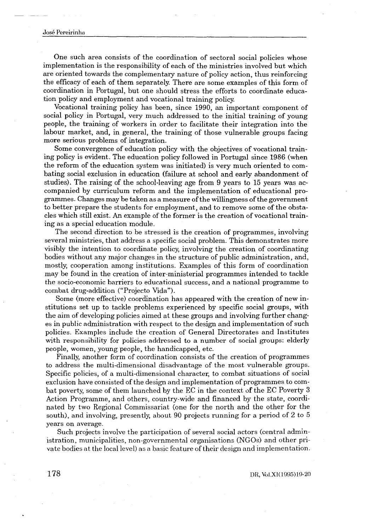# Jose Pereirinha  $\begin{tabular}{c} \multicolumn{2}{c} {\textbf{--}} \\ \multicolumn{2}{c} {\textbf{--}} \\ \multicolumn{2}{c} {\textbf{--}} \\ \multicolumn{2}{c} {\textbf{--}} \\ \multicolumn{2}{c} {\textbf{--}} \\ \multicolumn{2}{c} {\textbf{--}} \\ \multicolumn{2}{c} {\textbf{--}} \\ \multicolumn{2}{c} {\textbf{--}} \\ \multicolumn{2}{c} {\textbf{--}} \\ \multicolumn{2}{c} {\textbf{--}} \\ \multicolumn{2}{c} {\textbf{--}} \\ \multicolumn{2}{c} {\textbf{--}} \\ \multicolumn{2}{c} {\textbf{--}} \\ \multicolumn$

One such area consists of the coordination of sectoral social policies whose implementation is the responsibility of each of the ministries involved but which are oriented towards the complementary nature of policy action, thus reinforcing the efficacy of each of them separately. There are some examples of this form of coordination in Portugal, but one should stress the efforts to coordinate education policy and employment and vocational training policy.

Vocational training policy has been, since 1990, an important component of social policy in Portugal, very much addressed to the initial training of young people, the training of workers in order to facilitate their integration into the labour market, and, in general, the training of those vulnerable groups facing more serious problems of integration.

Some convergence of education policy with the objectives of vocational training policy is evident. The education policy followed in Portugal since 1986 (when the reform of the education system was initiated) is very much oriented to combating social exclusion in education (failure at school and early abandonment of studies). The raising of the school-leaving age from 9 years to 15 years was accompanied by curriculum reform and the implementation of educational programmes . Changes may be taken as a measure of the willingness of the government to better prepare the students for employment, and to remove some of the obstacles which still exist . An example of the former is the creation of vocational training as a special education module .

The second direction to be stressed is the creation of programmes, involving several ministries, that address a specific social problem . This demonstrates more visibly the intention to coordinate policy, involving the creation of coordinating bodies without any major changes in the structure of public administration, and, mostly, cooperation among institutions . Examples of this form of coordination may be found in the creation of inter-ministerial programmes intended to tackle the socio-economic barriers to educational success, and a national programme to combat drug-addition ("Projecto Vida").

Some (more effective) coordination has appeared with the creation of new institutions set up to tackle problems experienced by specific social groups, with the aim of developing policies aimed at these groups and involving further changes in public administration with respect to the design and implementation of such policies . Examples include the creation of General Directorates and Institutes with responsibility for policies addressed to a number of social groups: elderly people, women, young people, the handicapped, etc.

Finally, another form of coordination consists of the creation of programmes to address the multi-dimensional disadvantage of the most vulnerable groups . Specific policies, of a multi-dimensional character, to combat situations of social exclusion have consisted of the design and implementation of programmes to combat poverty, some of them launched by the EC in the context of the EC Poverty 3 Action Programme, and others, country-wide and financed by the state, coordinated by two Regional Commissariat (one for the north and the other for the south), and involving, presently, about 90 projects running for a period of 2 to 5 years on average.

Such projects involve the participation of several social actors (central administration, municipalities, non-governmental organisations (NGOs) and other private bodies at the local level) as a basic feature of their design and implementation .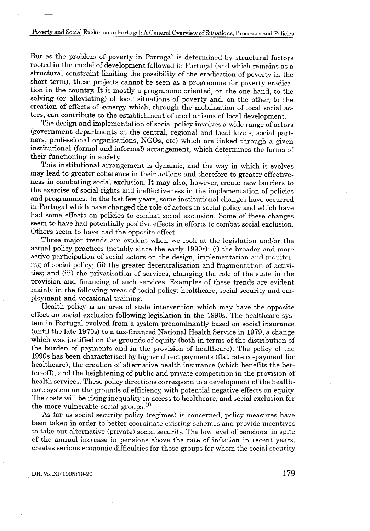But as the problem of poverty in Portugal is determined by structural factors rooted in the model of development followed in Portugal (and which remains as a structural constraint limiting the possibility of the eradication of poverty in the short term), these projects cannot be seen as a programme for poverty eradication in the country. It is mostly a programme oriented, on the one hand, to the solving (or alleviating) of local situations of poverty and, on the other, to the creation of effects of synergy which, through the mobilisation of local social actors, can contribute to the establishment of mechanisms of local development.

The design and implementation of social policy involves a wide range of actors (government departments at the central, regional and local levels, social partners, professional organisations, NGOs, etc) which are linked through a given institutional (formal and informal) arrangement, which determines the forms of their functioning in society .

This institutional arrangement is dynamic, and the way in which it evolves may lead to greater coherence in their actions and therefore to greater effectiveness in combating social exclusion. It may also, however, create new barriers to the exercise of social rights and ineffectiveness in the implementation of policies and programmes . In the last few years, some institutional changes have occurred in Portugal which have changed the role of actors in social policy and which have had some effects on policies to combat social exclusion . Some of these changes seem to have had potentially positive effects in efforts to combat social exclusion . Others seem to have had the opposite effect.

Three major trends are evident when we look at the legislation and/or the actual policy practices (notably since the early 1990s) : (i) the broader and more active participation of social actors on the design, implementation and monitoring of social policy; (ii) the greater decentralisation and fragmentation of activities; and (iii) the privatisation of services, changing the role of the state in the provision and financing of such services . Examples of these trends are evident mainly in the following areas of social policy: healthcare, social security and employment and vocational training.

Health policy is an area of state intervention which may have the opposite effect on social exclusion following legislation in the 1990s . The healthcare system in Portugal evolved from a system predominantly based on social insurance (until the late 1970s) to a tax-financed National Health Service in 1979, a change which was justified on the grounds of equity (both in terms of the distribution of the burden of payments and in the provision of healthcare) . The policy of the 1990s has been characterised by higher direct payments (flat rate co-payment for healthcare), the creation of alternative health insurance (which benefits the better-off), and the heightening of public and private competition in the provision of health services . These policy directions correspond to a development of the healthcare system on the grounds of efficiency, with potential negative effects on equity. The costs will be rising inequality in access to healthcare, and social exclusion for the more vulnerable social groups.  $10$ 

As far as social security policy (regimes) is concerned, policy measures have been taken in order to better coordinate existing schemes and provide incentives to take out alternative (private) social security. The low level of pensions, in spite of the annual increase in pensions above the rate of inflation in recent years, creates serious economic difficulties for those groups for whom the social security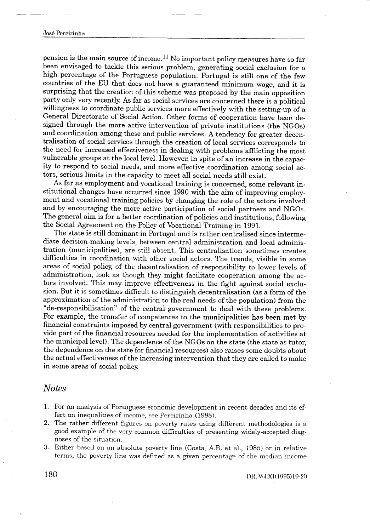pension is the main source of income.<sup>11</sup> No important policy measures have so far been envisaged to tackle this serious problem, generating social exclusion for a high percentage of the Portuguese population. Portugal is still one of the few countries of the EU that does not have a guaranteed minimum wage, and it is surprising that the creation of this scheme was proposed by the main opposition party only very recently . As far as social services are concerned there is a political willingness to coordinate public services more effectively with the setting-up of a General Directorate of Social Action. Other forms of cooperation have been designed through the more active intervention of private institutions (the NGOs) and coordination among these and public services . A tendency for greater decentralisation of social services through the creation of local services corresponds to the need for increased effectiveness in dealing with problems afflicting the most vulnerable groups at the local level. However, in spite of an increase in the capacity to respond to social needs, and more effective coordination among social actors, serious limits in the capacity to meet all social needs still exist.

As far as employment and vocational training is concerned, some relevant institutional changes have occurred since 1990 with the aim of improving employment and vocational training policies by changing the role of the actors involved and by encouraging the more active participation of social partners and NGOs . The general aim is for a better coordination of policies and institutions, following the Social Agreement on the Policy of Vocational Training in 1991.

The state is still dominant in Portugal and is rather centralised since intermediate decision-making levels, between central administration and local administration (municipalities), are still absent . This centralisation sometimes creates difficulties in coordination with other social actors . The trends, visible in some areas of social policy, of the decentralisation of responsibility to lower levels of administration, look as though they might facilitate cooperation among the actors involved. This may improve effectiveness in the fight against social exclusion . But it is sometimes difficult to distinguish decentralisation (as a form of the approximation of the administration to the real needs of the population) from the "de-responsibilisation" of the central government to deal with these problems . For example, the transfer of competences to the municipalities has been met by financial constraints imposed by central government (with responsibilities to provide part of the financial resources needed for the implementation of activities at the municipal level) . The dependence of the NGOs on the state (the state as tutor, the dependence on the state for financial resources) also raises some doubts about the actual effectiveness of the increasing intervention that they are called to make in some areas of social policy.

#### Notes

- <sup>1</sup> . For an analysis of Portuguese economic development in recent decades and its effect on inequalities of income, see Pereirinha (1988).
- 2 . The rather different figures on poverty rates using different methodologies is a good example of the very common difficulties of presenting widely-accepted diagnoses of the situation .
- 3. Either based on an absolute poverty line (Costa, A.B. et al., 1985) or in relative terms, the poverty line was defined as a given percentage of the median income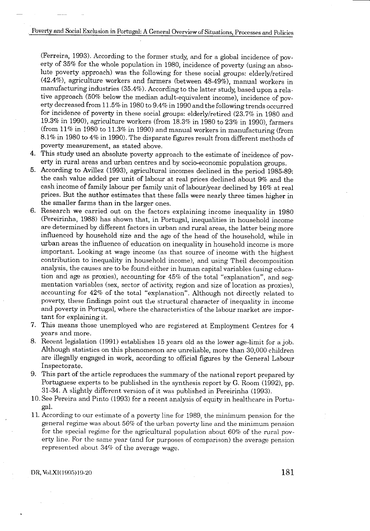(Ferreira, 1993) . According to the former study, and for a global incidence of poverty of 35% for the whole population in 1980, incidence of poverty (using an absolute poverty approach) was the following for these social groups: elderly/retired (42 .4%), agriculture workers and farmers (between 48-49%), manual workers in manufacturing industries (35.4%). According to the latter study, based upon a relative approach (50% below the median adult-equivalent income), incidence of poverty decreased from 11 .5% in 1980 to 9 .4% in 1990 and the following trends occurred for incidence of poverty in these social groups: elderly/retired (23.7% in 1980 and 19 .3% in 1990), agriculture workers (from 18 .3% in 1980 to 23% in 1990), farmers (from 11% in 1980 to 11 .3% in 1990) and manual workers in manufacturing (from 8 .1% in 1980 to 4% in 1990) . The disparate figures result from different methods of poverty measurement, as stated above.

- 4 . This study used an absolute poverty approach to the estimate of incidence of poverty in rural areas and urban centres and by socio-economic population groups .
- 5 . According to Avillez (1993), agricultural incomes declined in the period 1985-89 : the cash value added per unit of labour at real prices declined about 9% and the cash income of family labour per family unit of labour/year declined by 16% at real prices . But the author estimates that these falls were nearly three times higher in the smaller farms than in the larger ones .
- 6 . Research we carried out on the factors explaining income inequality in 1980 (Pereirinha, 1988) has shown that, in Portugal, inequalities in household income are determined by different factors in urban and rural areas, the latter being more influenced by household size and the age of the head of the household, while in urban areas the influence of education on inequality in household income is more important. Looking at wage income (as that source of income with the highest contribution to inequality in household income), and using Theil decomposition analysis, the causes are to be found either in human capital variables (using education and age as proxies), accounting for 45% of the total "explanation", and segmentation variables (sex, sector of activity, region and size of location as proxies), accounting for 42% of the total "explanation". Although not directly related to poverty, these findings point out the structural character of inequality in income and poverty in Portugal, where the characteristics of the labour market are important for explaining it.
- 7 . This means those unemployed who are registered at Employment Centres for 4 years and more.
- 8. Recent legislation (1991) establishes 15 years old as the lower age-limit for a job . Although statistics on this phenomenon are unreliable, more than 30,000 children are illegally engaged in work, according to official figures by the General Labour Inspectorate.
- 9. This part of the article reproduces the summary of the national report prepared by Portuguese experts to be published in the synthesis report by G. Room (1992), pp. 31-34. A slightly different version of it was published in Pereirinha (1993) .
- 10 . See Pereira and Pinto (1993) for a recent analysis of equity in healthcare in Portugal .
- 11. According to our estimate of a poverty line for 1989, the minimum pension for the general regime was about 56% of the urban poverty line and the minimum pension for the special regime for the agricultural population about  $60\%$  of the rural poverty line. For the same year (and for purposes of comparison) the average pension represented about 34% of the average wage.

DR, Vol .XI(1995)19-20